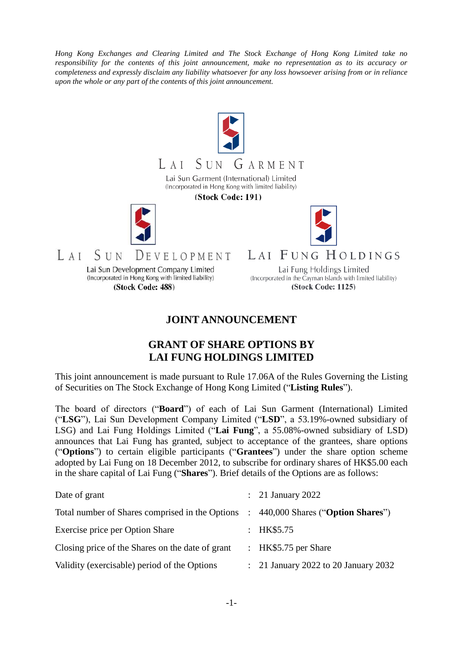*Hong Kong Exchanges and Clearing Limited and The Stock Exchange of Hong Kong Limited take no responsibility for the contents of this joint announcement, make no representation as to its accuracy or completeness and expressly disclaim any liability whatsoever for any loss howsoever arising from or in reliance upon the whole or any part of the contents of this joint announcement.*



## **JOINT ANNOUNCEMENT**

## **GRANT OF SHARE OPTIONS BY LAI FUNG HOLDINGS LIMITED**

This joint announcement is made pursuant to Rule 17.06A of the Rules Governing the Listing of Securities on The Stock Exchange of Hong Kong Limited ("**Listing Rules**").

The board of directors ("**Board**") of each of Lai Sun Garment (International) Limited ("**LSG**"), Lai Sun Development Company Limited ("**LSD**", a 53.19%-owned subsidiary of LSG) and Lai Fung Holdings Limited ("**Lai Fung**", a 55.08%-owned subsidiary of LSD) announces that Lai Fung has granted, subject to acceptance of the grantees, share options ("**Options**") to certain eligible participants ("**Grantees**") under the share option scheme adopted by Lai Fung on 18 December 2012, to subscribe for ordinary shares of HK\$5.00 each in the share capital of Lai Fung ("**Shares**"). Brief details of the Options are as follows:

| Date of grant                                    |                           | $\therefore$ 21 January 2022                    |
|--------------------------------------------------|---------------------------|-------------------------------------------------|
| Total number of Shares comprised in the Options  | $\mathbb{R}^n$            | 440,000 Shares ("Option Shares")                |
| Exercise price per Option Share                  | $\mathbb{R}^{\mathbb{Z}}$ | HK\$5.75                                        |
| Closing price of the Shares on the date of grant |                           | : HK\$5.75 per Share                            |
| Validity (exercisable) period of the Options     |                           | $\therefore$ 21 January 2022 to 20 January 2032 |